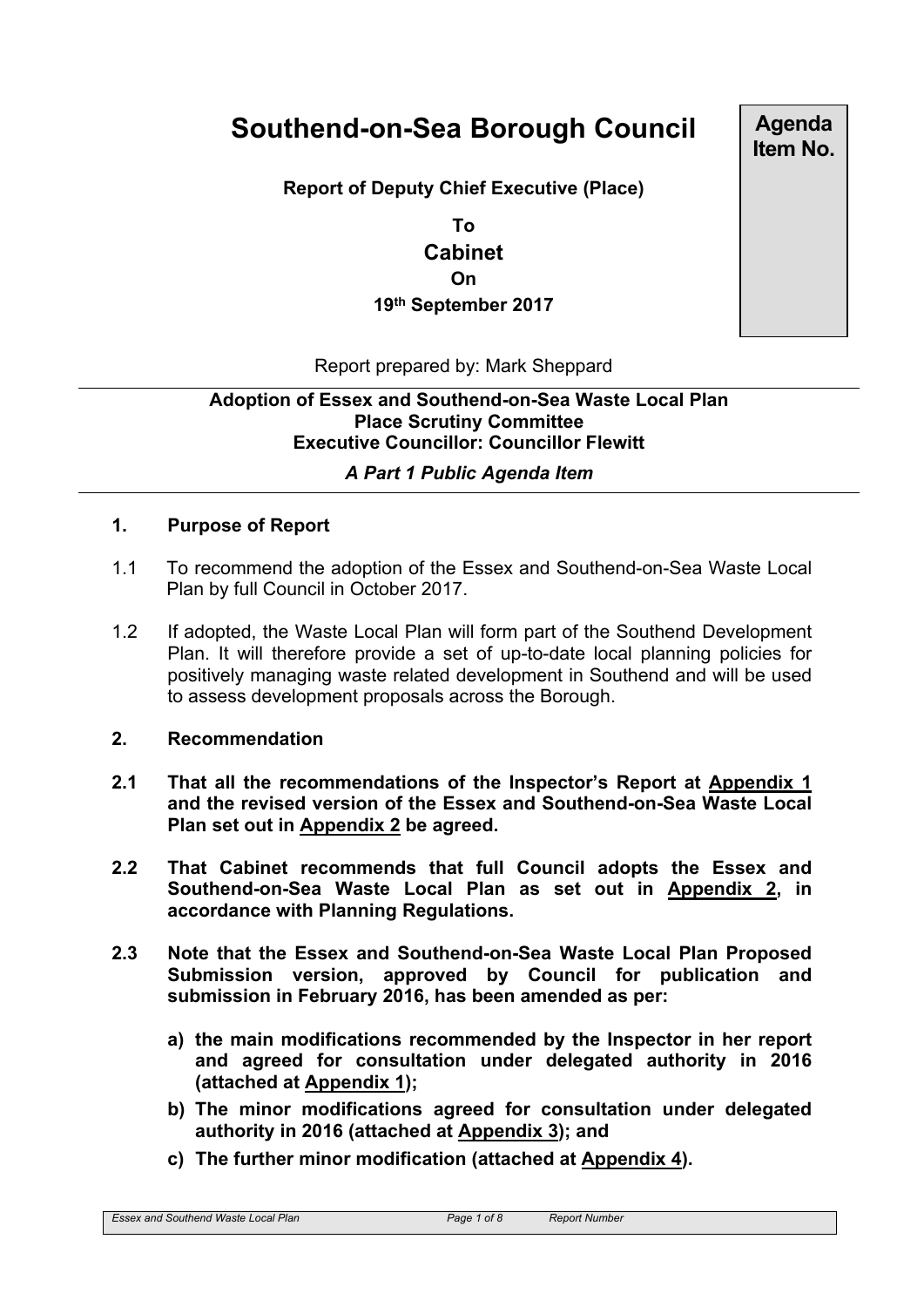# **Southend-on-Sea Borough Council**

**Report of Deputy Chief Executive (Place)**

**To Cabinet On 19th September 2017** **Agenda Item No.**

Report prepared by: Mark Sheppard

## **Adoption of Essex and Southend-on-Sea Waste Local Plan Place Scrutiny Committee Executive Councillor: Councillor Flewitt**

## *A Part 1 Public Agenda Item*

#### **1. Purpose of Report**

- 1.1 To recommend the adoption of the Essex and Southend-on-Sea Waste Local Plan by full Council in October 2017.
- 1.2 If adopted, the Waste Local Plan will form part of the Southend Development Plan. It will therefore provide a set of up-to-date local planning policies for positively managing waste related development in Southend and will be used to assess development proposals across the Borough.

#### **2. Recommendation**

- **2.1 That all the recommendations of the Inspector's Report at Appendix 1 and the revised version of the Essex and Southend-on-Sea Waste Local Plan set out in Appendix 2 be agreed.**
- **2.2 That Cabinet recommends that full Council adopts the Essex and Southend-on-Sea Waste Local Plan as set out in Appendix 2, in accordance with Planning Regulations.**
- **2.3 Note that the Essex and Southend-on-Sea Waste Local Plan Proposed Submission version, approved by Council for publication and submission in February 2016, has been amended as per:**
	- **a) the main modifications recommended by the Inspector in her report and agreed for consultation under delegated authority in 2016 (attached at Appendix 1);**
	- **b) The minor modifications agreed for consultation under delegated authority in 2016 (attached at Appendix 3); and**
	- **c) The further minor modification (attached at Appendix 4).**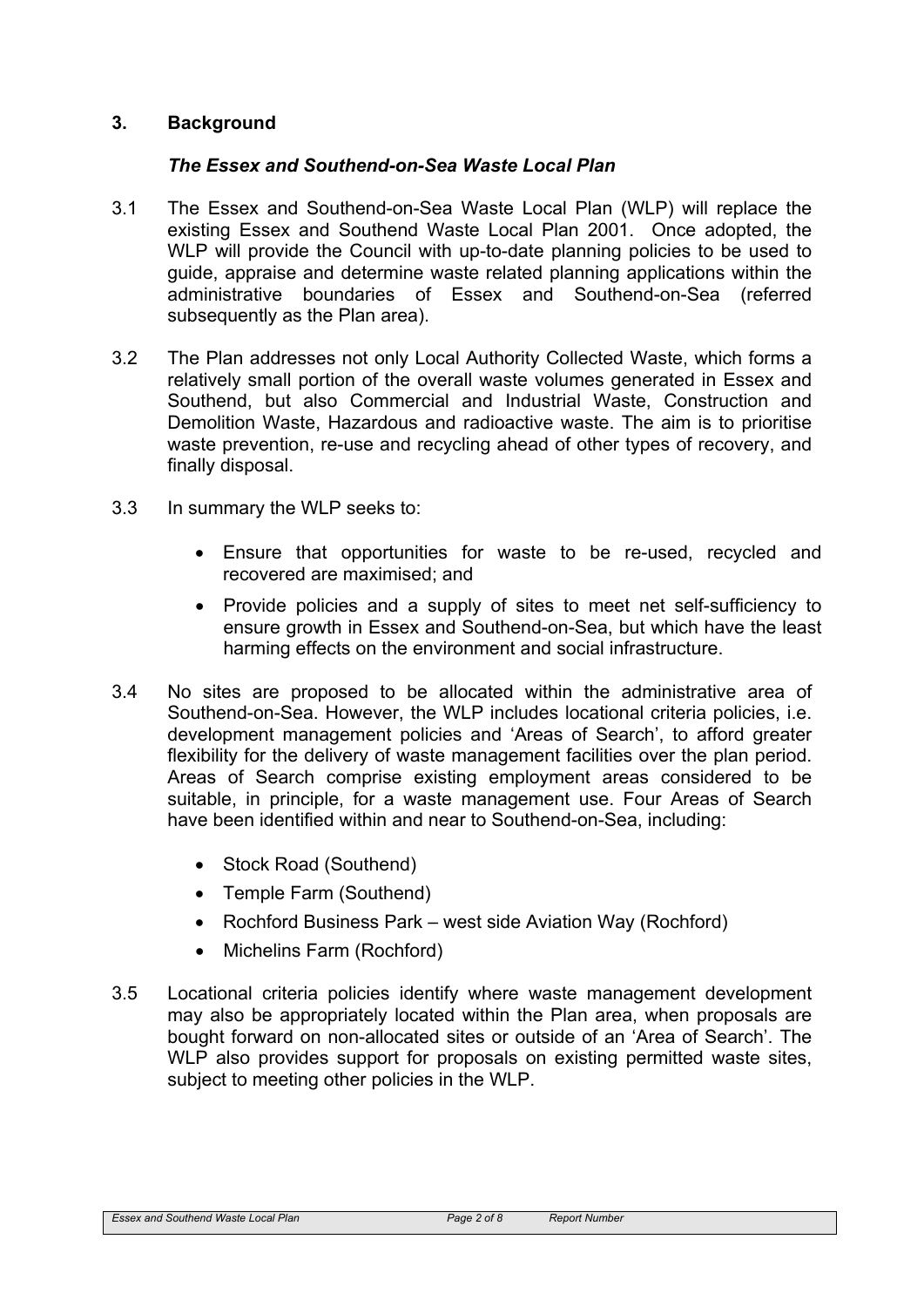### **3. Background**

#### *The Essex and Southend-on-Sea Waste Local Plan*

- 3.1 The Essex and Southend-on-Sea Waste Local Plan (WLP) will replace the existing Essex and Southend Waste Local Plan 2001. Once adopted, the WLP will provide the Council with up-to-date planning policies to be used to guide, appraise and determine waste related planning applications within the administrative boundaries of Essex and Southend-on-Sea (referred subsequently as the Plan area).
- 3.2 The Plan addresses not only Local Authority Collected Waste, which forms a relatively small portion of the overall waste volumes generated in Essex and Southend, but also Commercial and Industrial Waste, Construction and Demolition Waste, Hazardous and radioactive waste. The aim is to prioritise waste prevention, re-use and recycling ahead of other types of recovery, and finally disposal.
- 3.3 In summary the WLP seeks to:
	- Ensure that opportunities for waste to be re-used, recycled and recovered are maximised; and
	- Provide policies and a supply of sites to meet net self-sufficiency to ensure growth in Essex and Southend-on-Sea, but which have the least harming effects on the environment and social infrastructure.
- 3.4 No sites are proposed to be allocated within the administrative area of Southend-on-Sea. However, the WLP includes locational criteria policies, i.e. development management policies and 'Areas of Search', to afford greater flexibility for the delivery of waste management facilities over the plan period. Areas of Search comprise existing employment areas considered to be suitable, in principle, for a waste management use. Four Areas of Search have been identified within and near to Southend-on-Sea, including:
	- Stock Road (Southend)
	- Temple Farm (Southend)
	- Rochford Business Park west side Aviation Way (Rochford)
	- Michelins Farm (Rochford)
- 3.5 Locational criteria policies identify where waste management development may also be appropriately located within the Plan area, when proposals are bought forward on non-allocated sites or outside of an 'Area of Search'. The WLP also provides support for proposals on existing permitted waste sites, subject to meeting other policies in the WLP.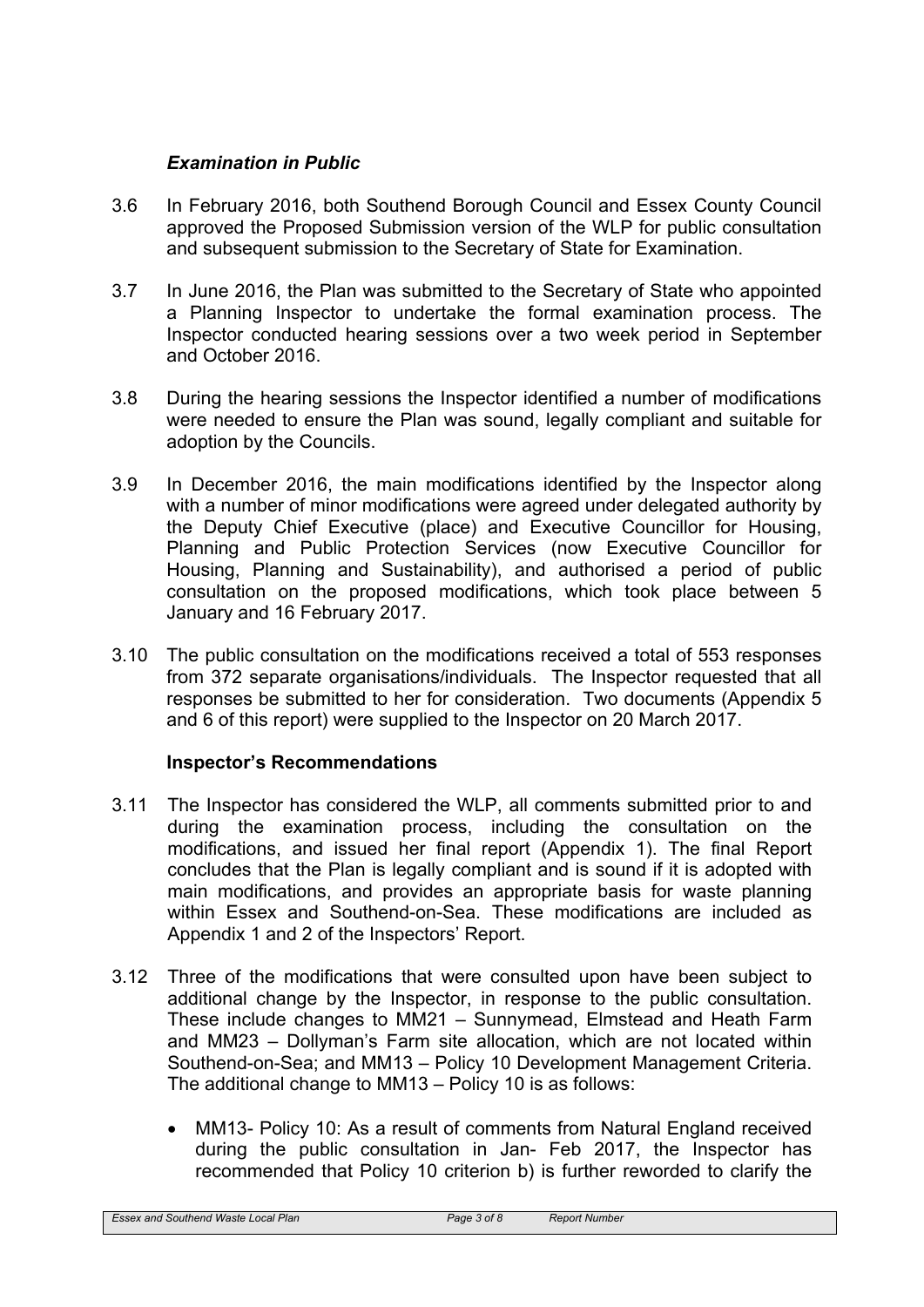## *Examination in Public*

- 3.6 In February 2016, both Southend Borough Council and Essex County Council approved the Proposed Submission version of the WLP for public consultation and subsequent submission to the Secretary of State for Examination.
- 3.7 In June 2016, the Plan was submitted to the Secretary of State who appointed a Planning Inspector to undertake the formal examination process. The Inspector conducted hearing sessions over a two week period in September and October 2016.
- 3.8 During the hearing sessions the Inspector identified a number of modifications were needed to ensure the Plan was sound, legally compliant and suitable for adoption by the Councils.
- 3.9 In December 2016, the main modifications identified by the Inspector along with a number of minor modifications were agreed under delegated authority by the Deputy Chief Executive (place) and Executive Councillor for Housing, Planning and Public Protection Services (now Executive Councillor for Housing, Planning and Sustainability), and authorised a period of public consultation on the proposed modifications, which took place between 5 January and 16 February 2017.
- 3.10 The public consultation on the modifications received a total of 553 responses from 372 separate organisations/individuals. The Inspector requested that all responses be submitted to her for consideration. Two documents (Appendix 5 and 6 of this report) were supplied to the Inspector on 20 March 2017.

#### **Inspector's Recommendations**

- 3.11 The Inspector has considered the WLP, all comments submitted prior to and during the examination process, including the consultation on the modifications, and issued her final report (Appendix 1). The final Report concludes that the Plan is legally compliant and is sound if it is adopted with main modifications, and provides an appropriate basis for waste planning within Essex and Southend-on-Sea. These modifications are included as Appendix 1 and 2 of the Inspectors' Report.
- 3.12 Three of the modifications that were consulted upon have been subject to additional change by the Inspector, in response to the public consultation. These include changes to MM21 – Sunnymead, Elmstead and Heath Farm and MM23 – Dollyman's Farm site allocation, which are not located within Southend-on-Sea; and MM13 – Policy 10 Development Management Criteria. The additional change to MM13 – Policy 10 is as follows:
	- MM13- Policy 10: As a result of comments from Natural England received during the public consultation in Jan- Feb 2017, the Inspector has recommended that Policy 10 criterion b) is further reworded to clarify the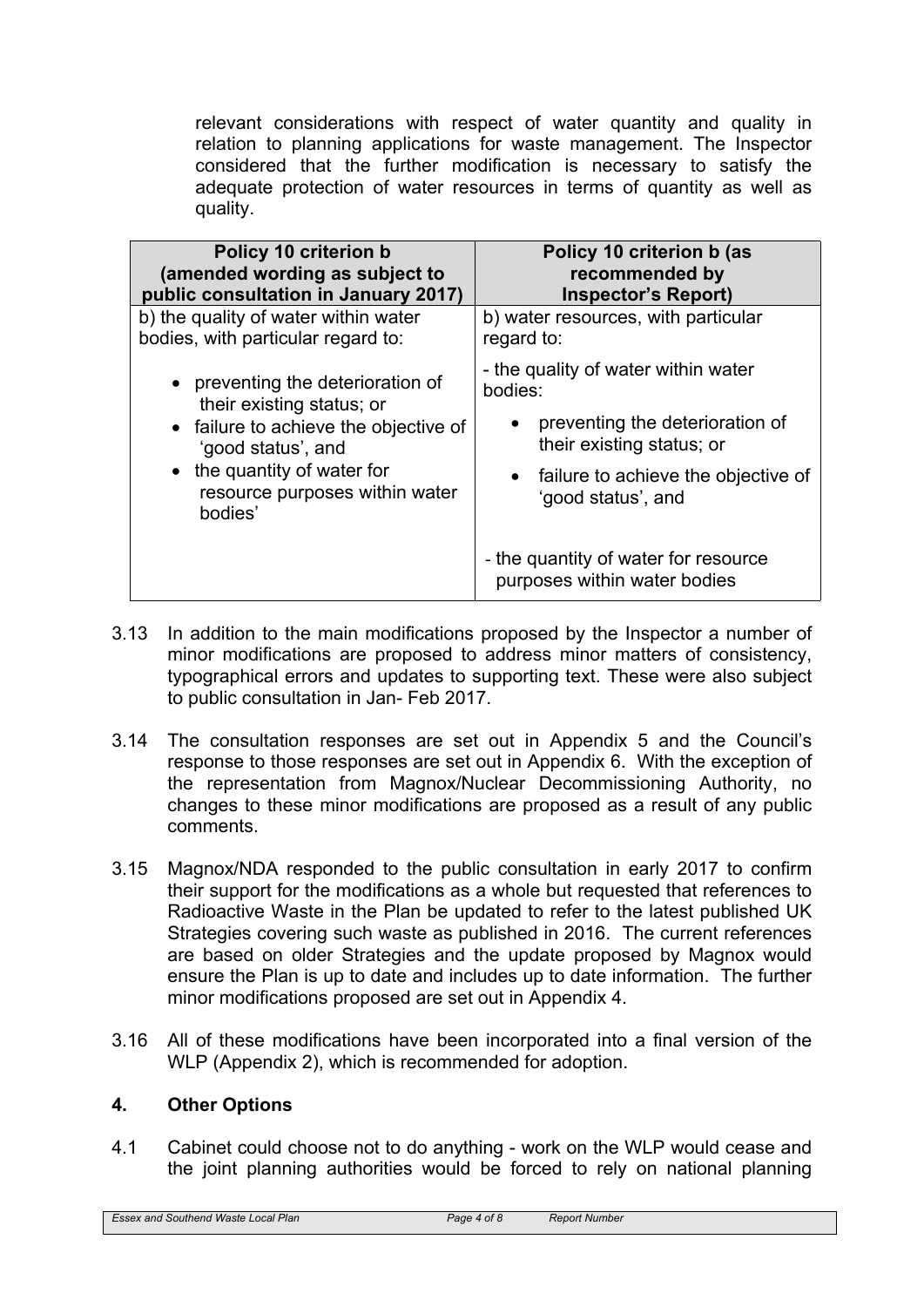relevant considerations with respect of water quantity and quality in relation to planning applications for waste management. The Inspector considered that the further modification is necessary to satisfy the adequate protection of water resources in terms of quantity as well as quality.

| Policy 10 criterion b                                                                                                                                                                                     | Policy 10 criterion b (as                                                                                                                                                                                                                                |
|-----------------------------------------------------------------------------------------------------------------------------------------------------------------------------------------------------------|----------------------------------------------------------------------------------------------------------------------------------------------------------------------------------------------------------------------------------------------------------|
| (amended wording as subject to                                                                                                                                                                            | recommended by                                                                                                                                                                                                                                           |
| public consultation in January 2017)                                                                                                                                                                      | <b>Inspector's Report)</b>                                                                                                                                                                                                                               |
| b) the quality of water within water                                                                                                                                                                      | b) water resources, with particular                                                                                                                                                                                                                      |
| bodies, with particular regard to:                                                                                                                                                                        | regard to:                                                                                                                                                                                                                                               |
| • preventing the deterioration of<br>their existing status; or<br>• failure to achieve the objective of<br>'good status', and<br>• the quantity of water for<br>resource purposes within water<br>bodies' | - the quality of water within water<br>bodies:<br>preventing the deterioration of<br>their existing status; or<br>failure to achieve the objective of<br>٠<br>'good status', and<br>- the quantity of water for resource<br>purposes within water bodies |

- 3.13 In addition to the main modifications proposed by the Inspector a number of minor modifications are proposed to address minor matters of consistency, typographical errors and updates to supporting text. These were also subject to public consultation in Jan- Feb 2017.
- 3.14 The consultation responses are set out in Appendix 5 and the Council's response to those responses are set out in Appendix 6. With the exception of the representation from Magnox/Nuclear Decommissioning Authority, no changes to these minor modifications are proposed as a result of any public comments.
- 3.15 Magnox/NDA responded to the public consultation in early 2017 to confirm their support for the modifications as a whole but requested that references to Radioactive Waste in the Plan be updated to refer to the latest published UK Strategies covering such waste as published in 2016. The current references are based on older Strategies and the update proposed by Magnox would ensure the Plan is up to date and includes up to date information. The further minor modifications proposed are set out in Appendix 4.
- 3.16 All of these modifications have been incorporated into a final version of the WLP (Appendix 2), which is recommended for adoption.

## **4. Other Options**

4.1 Cabinet could choose not to do anything - work on the WLP would cease and the joint planning authorities would be forced to rely on national planning

*Essex and Southend Waste Local Plan Page 4 of 8 Report Number*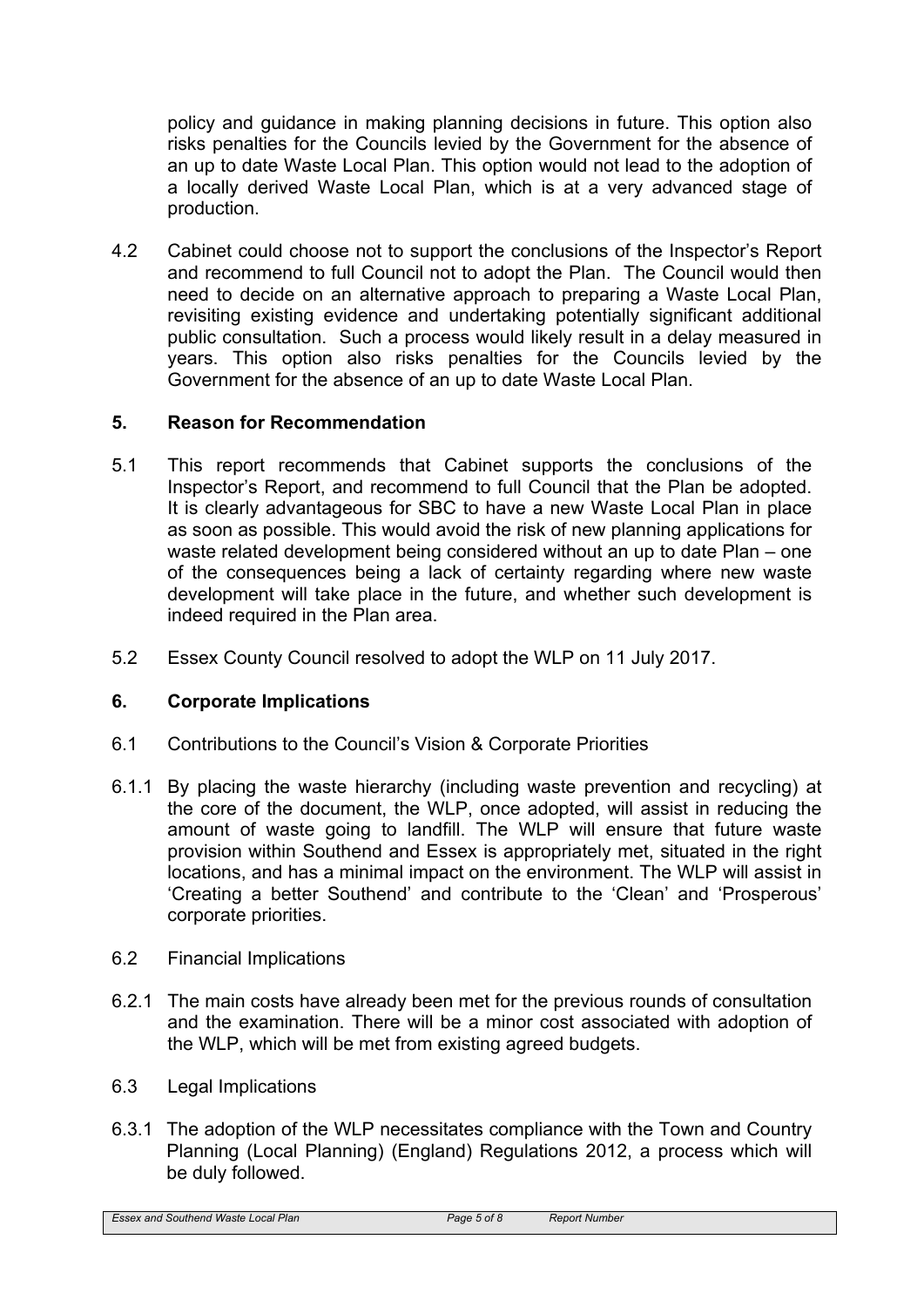policy and guidance in making planning decisions in future. This option also risks penalties for the Councils levied by the Government for the absence of an up to date Waste Local Plan. This option would not lead to the adoption of a locally derived Waste Local Plan, which is at a very advanced stage of production.

4.2 Cabinet could choose not to support the conclusions of the Inspector's Report and recommend to full Council not to adopt the Plan. The Council would then need to decide on an alternative approach to preparing a Waste Local Plan, revisiting existing evidence and undertaking potentially significant additional public consultation. Such a process would likely result in a delay measured in years. This option also risks penalties for the Councils levied by the Government for the absence of an up to date Waste Local Plan.

## **5. Reason for Recommendation**

- 5.1 This report recommends that Cabinet supports the conclusions of the Inspector's Report, and recommend to full Council that the Plan be adopted. It is clearly advantageous for SBC to have a new Waste Local Plan in place as soon as possible. This would avoid the risk of new planning applications for waste related development being considered without an up to date Plan – one of the consequences being a lack of certainty regarding where new waste development will take place in the future, and whether such development is indeed required in the Plan area.
- 5.2 Essex County Council resolved to adopt the WLP on 11 July 2017.

## **6. Corporate Implications**

- 6.1 Contributions to the Council's Vision & Corporate Priorities
- 6.1.1 By placing the waste hierarchy (including waste prevention and recycling) at the core of the document, the WLP, once adopted, will assist in reducing the amount of waste going to landfill. The WLP will ensure that future waste provision within Southend and Essex is appropriately met, situated in the right locations, and has a minimal impact on the environment. The WLP will assist in 'Creating a better Southend' and contribute to the 'Clean' and 'Prosperous' corporate priorities.
- 6.2 Financial Implications
- 6.2.1 The main costs have already been met for the previous rounds of consultation and the examination. There will be a minor cost associated with adoption of the WLP, which will be met from existing agreed budgets.
- 6.3 Legal Implications
- 6.3.1 The adoption of the WLP necessitates compliance with the Town and Country Planning (Local Planning) (England) Regulations 2012, a process which will be duly followed.

*Essex and Southend Waste Local Plan Page 5 of 8 Report Number*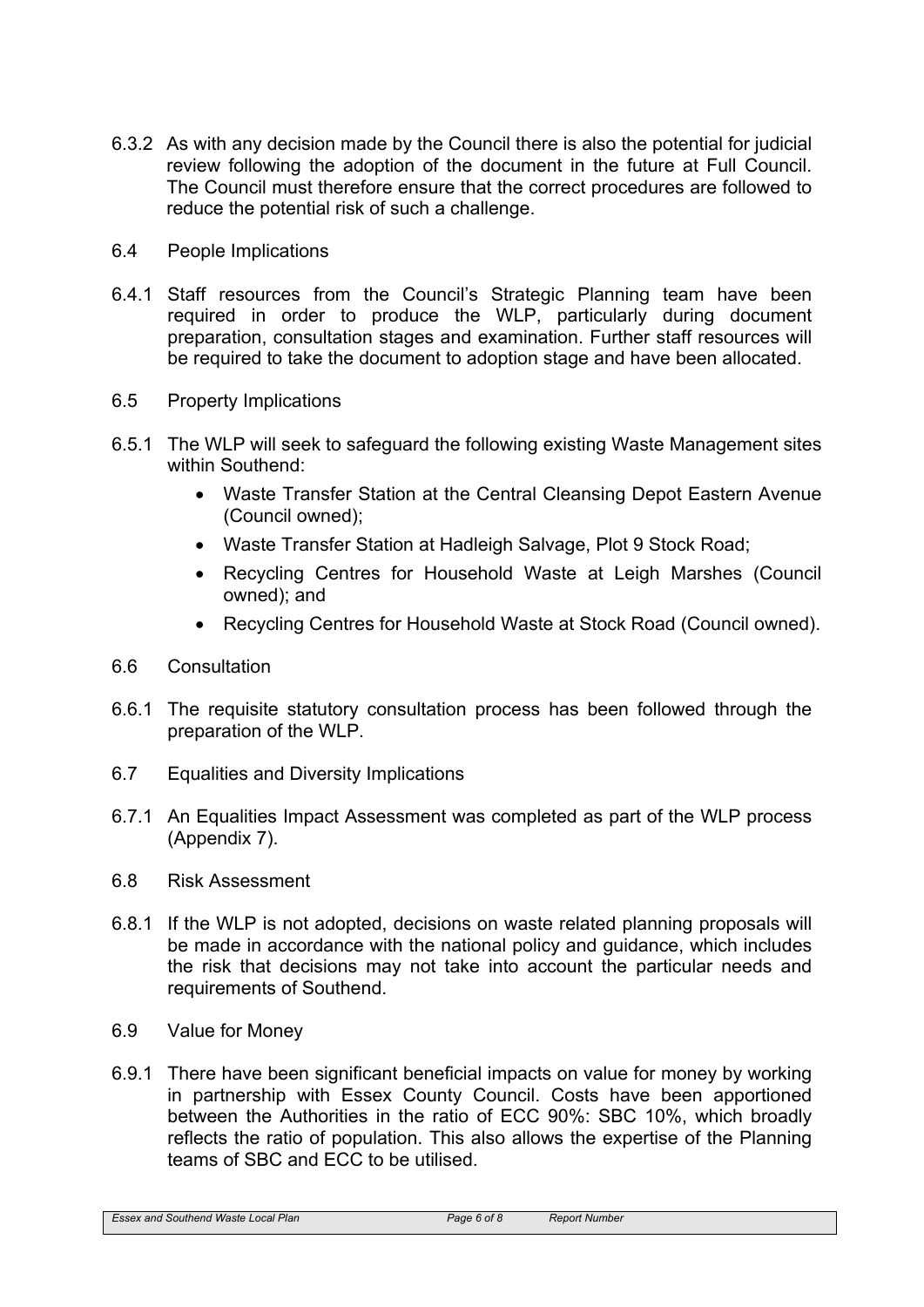- 6.3.2 As with any decision made by the Council there is also the potential for judicial review following the adoption of the document in the future at Full Council. The Council must therefore ensure that the correct procedures are followed to reduce the potential risk of such a challenge.
- 6.4 People Implications
- 6.4.1 Staff resources from the Council's Strategic Planning team have been required in order to produce the WLP, particularly during document preparation, consultation stages and examination. Further staff resources will be required to take the document to adoption stage and have been allocated.
- 6.5 Property Implications
- 6.5.1 The WLP will seek to safeguard the following existing Waste Management sites within Southend:
	- Waste Transfer Station at the Central Cleansing Depot Eastern Avenue (Council owned);
	- Waste Transfer Station at Hadleigh Salvage, Plot 9 Stock Road;
	- Recycling Centres for Household Waste at Leigh Marshes (Council owned); and
	- Recycling Centres for Household Waste at Stock Road (Council owned).
- 6.6 Consultation
- 6.6.1 The requisite statutory consultation process has been followed through the preparation of the WLP.
- 6.7 Equalities and Diversity Implications
- 6.7.1 An Equalities Impact Assessment was completed as part of the WLP process (Appendix 7).
- 6.8 Risk Assessment
- 6.8.1 If the WLP is not adopted, decisions on waste related planning proposals will be made in accordance with the national policy and guidance, which includes the risk that decisions may not take into account the particular needs and requirements of Southend.
- 6.9 Value for Money
- 6.9.1 There have been significant beneficial impacts on value for money by working in partnership with Essex County Council. Costs have been apportioned between the Authorities in the ratio of ECC 90%: SBC 10%, which broadly reflects the ratio of population. This also allows the expertise of the Planning teams of SBC and ECC to be utilised.

*Essex and Southend Waste Local Plan Page 6 of 8 Report Number*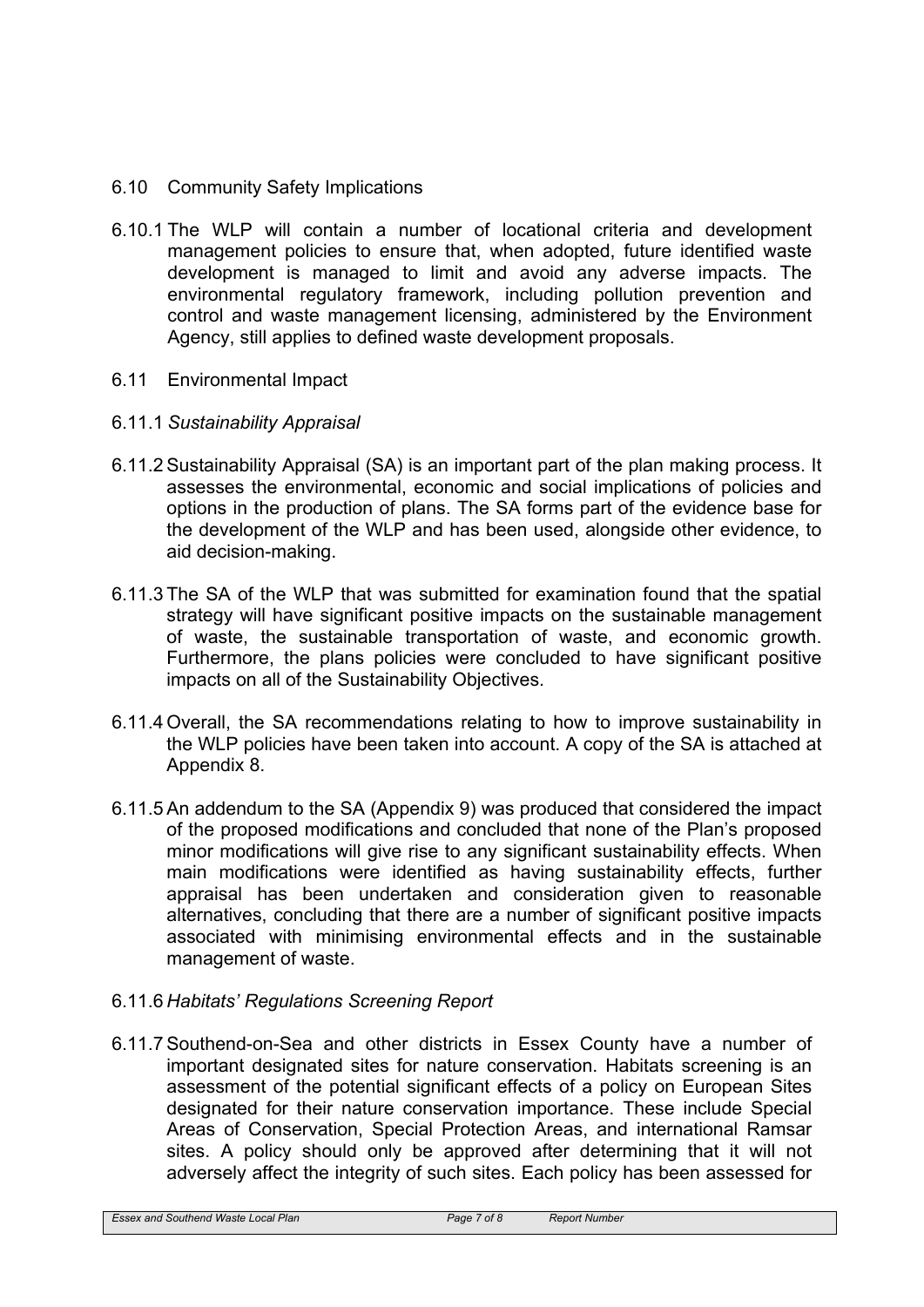- 6.10 Community Safety Implications
- 6.10.1 The WLP will contain a number of locational criteria and development management policies to ensure that, when adopted, future identified waste development is managed to limit and avoid any adverse impacts. The environmental regulatory framework, including pollution prevention and control and waste management licensing, administered by the Environment Agency, still applies to defined waste development proposals.
- 6.11 Environmental Impact
- 6.11.1 *Sustainability Appraisal*
- 6.11.2 Sustainability Appraisal (SA) is an important part of the plan making process. It assesses the environmental, economic and social implications of policies and options in the production of plans. The SA forms part of the evidence base for the development of the WLP and has been used, alongside other evidence, to aid decision-making.
- 6.11.3 The SA of the WLP that was submitted for examination found that the spatial strategy will have significant positive impacts on the sustainable management of waste, the sustainable transportation of waste, and economic growth. Furthermore, the plans policies were concluded to have significant positive impacts on all of the Sustainability Objectives.
- 6.11.4 Overall, the SA recommendations relating to how to improve sustainability in the WLP policies have been taken into account. A copy of the SA is attached at Appendix 8.
- 6.11.5 An addendum to the SA (Appendix 9) was produced that considered the impact of the proposed modifications and concluded that none of the Plan's proposed minor modifications will give rise to any significant sustainability effects. When main modifications were identified as having sustainability effects, further appraisal has been undertaken and consideration given to reasonable alternatives, concluding that there are a number of significant positive impacts associated with minimising environmental effects and in the sustainable management of waste.
- 6.11.6 *Habitats' Regulations Screening Report*
- 6.11.7 Southend-on-Sea and other districts in Essex County have a number of important designated sites for nature conservation. Habitats screening is an assessment of the potential significant effects of a policy on European Sites designated for their nature conservation importance. These include Special Areas of Conservation, Special Protection Areas, and international Ramsar sites. A policy should only be approved after determining that it will not adversely affect the integrity of such sites. Each policy has been assessed for

*Essex and Southend Waste Local Plan Page 7 of 8 Report Number*